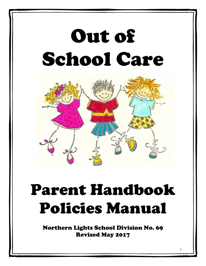# Out of School Care



# Parent Handbook Policies Manual

Northern Lights School Division No. 69 Revised May 2017

1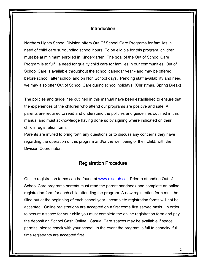#### Introduction

Northern Lights School Division offers Out Of School Care Programs for families in need of child care surrounding school hours. To be eligible for this program, children must be at minimum enrolled in Kindergarten. The goal of the Out of School Care Program is to fulfill a need for quality child care for families in our communities. Out of School Care is available throughout the school calendar year - and may be offered before school, after school and on Non School days. Pending staff availability and need we may also offer Out of School Care during school holidays. (Christmas, Spring Break)

The policies and guidelines outlined in this manual have been established to ensure that the experiences of the children who attend our programs are positive and safe. All parents are required to read and understand the policies and guidelines outlined in this manual and must acknowledge having done so by signing where indicated on their child's registration form.

Parents are invited to bring forth any questions or to discuss any concerns they have regarding the operation of this program and/or the well being of their child, with the Division Coordinator.

#### Registration Procedure

Online registration forms can be found at [www.nlsd.ab.ca](http://www.nlsd.ab.ca/) . Prior to attending Out of School Care programs parents must read the parent handbook and complete an online registration form for each child attending the program. A new registration form must be filled out at the beginning of each school year. Incomplete registration forms will not be accepted. Online registrations are accepted on a first come first served basis. In order to secure a space for your child you must complete the online registration form and pay the deposit on School Cash Online. Casual Care spaces may be available if space permits, please check with your school. In the event the program is full to capacity, full time registrants are accepted first.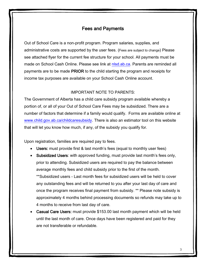# Fees and Payments

Out of School Care is a non-profit program. Program salaries, supplies, and administrative costs are supported by the user fees. (Fees are subject to change) Please see attached flyer for the current fee structure for your school. All payments must be made on School Cash Online. Please see link at [nlsd.ab.ca.](../2015-2016/osc/OSC%20Reg/Reg%20forms%20-word/nlsd.ab.ca) Parents are reminded all payments are to be made PRIOR to the child starting the program and receipts for income tax purposes are available on your School Cash Online account.

#### IMPORTANT NOTE TO PARENTS:

The Government of Alberta has a child care subsidy program available whereby a portion of, or all of your Out of School Care Fees may be subsidized. There are a number of factors that determine if a family would qualify. Forms are available online at [www.child.gov.ab.ca/childcaresubsidy.](http://www.child.gov.ab.ca/childcaresubsidy) There is also an estimator tool on this website that will let you know how much, if any, of the subsidy you qualify for.

Upon registration, families are required pay to fees.

- Users: must provide first & last month's fees (equal to monthly user fees)
- Subsidized Users: with approved funding, must provide last month's fees only, prior to attending. Subsidized users are required to pay the balance between average monthly fees and child subsidy prior to the first of the month. \*\*Subsidized users - Last month fees for subsidized users will be held to cover any outstanding fees and will be returned to you after your last day of care and once the program receives final payment from subsidy. \*\* Please note subsidy is approximately 4 months behind processing documents so refunds may take up to 4 months to receive from last day of care.
- Casual Care Users: must provide \$153.00 last month payment which will be held until the last month of care. Once days have been registered and paid for they are not transferable or refundable.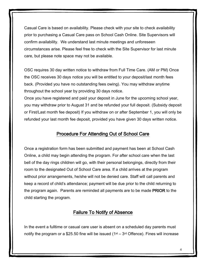Casual Care is based on availability. Please check with your site to check availability prior to purchasing a Casual Care pass on School Cash Online. Site Supervisors will confirm availability. We understand last minute meetings and unforeseen circumstances arise. Please feel free to check with the Site Supervisor for last minute care, but please note space may not be available.

OSC requires 30 day written notice to withdraw from Full Time Care. (AM or PM) Once the OSC receives 30 days notice you will be entitled to your deposit/last month fees back. (Provided you have no outstanding fees owing). You may withdraw anytime throughout the school year by providing 30 days notice.

Once you have registered and paid your deposit in June for the upcoming school year, you may withdraw prior to August 31 and be refunded your full deposit. (Subsidy deposit or First/Last month fee deposit) If you withdraw on or after September 1, you will only be refunded your last month fee deposit, provided you have given 30 days written notice.

# Procedure For Attending Out of School Care

Once a registration form has been submitted and payment has been at School Cash Online, a child may begin attending the program. For after school care when the last bell of the day rings children will go, with their personal belongings, directly from their room to the designated Out of School Care area. If a child arrives at the program without prior arrangements, he/she will not be denied care. Staff will call parents and keep a record of child's attendance; payment will be due prior to the child returning to the program again. Parents are reminded all payments are to be made PRIOR to the child starting the program.

### Failure To Notify of Absence

In the event a fulltime or casual care user is absent on a scheduled day parents must notify the program or a \$25.50 fine will be issued  $(1^{st} - 3^{rd}$  Offence). Fines will increase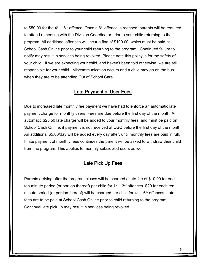to \$50.00 for the  $4<sup>th</sup> - 6<sup>th</sup>$  offence. Once a  $6<sup>th</sup>$  offence is reached, parents will be required to attend a meeting with the Division Coordinator prior to your child returning to the program. All additional offences will incur a fine of \$100.00, which must be paid at School Cash Online prior to your child returning to the program. Continued failure to notify may result in services being revoked. Please note this policy is for the safety of your child. If we are expecting your child, and haven't been told otherwise, we are still responsible for your child. Miscommunication occurs and a child may go on the bus when they are to be attending Out of School Care.

### Late Payment of User Fees

Due to increased late monthly fee payment we have had to enforce an automatic late payment charge for monthly users. Fees are due before the first day of the month. An automatic \$25.50 late charge will be added to your monthly fees, and must be paid on School Cash Online, if payment is not received at OSC before the first day of the month. An additional \$5.00/day will be added every day after, until monthly fees are paid in full. If late payment of monthly fees continues the parent will be asked to withdraw their child from the program. This applies to monthly subsidized users as well.

#### Late Pick Up Fees

Parents arriving after the program closes will be charged a late fee of \$10.00 for each ten minute period (or portion thereof) per child for  $1<sup>st</sup> - 3<sup>rd</sup>$  offences. \$20 for each ten minute period (or portion thereof) will be charged per child for  $4<sup>th</sup> - 6<sup>th</sup>$  offences. Late fees are to be paid at School Cash Online prior to child returning to the program. Continual late pick up may result in services being revoked.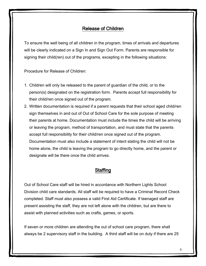# Release of Children

To ensure the well being of all children in the program, times of arrivals and departures will be clearly indicated on a Sign In and Sign Out Form. Parents are responsible for signing their child(ren) out of the programs, excepting in the following situations:

Procedure for Release of Children:

- 1. Children will only be released to the parent of guardian of the child, or to the person(s) designated on the registration form. Parents accept full responsibility for their child/ren once signed out of the program.
- 2. Written documentation is required if a parent requests that their school aged child/ren sign themselves in and out of Out of School Care for the sole purpose of meeting their parents at home. Documentation must include the times the child will be arriving or leaving the program, method of transportation, and must state that the parents accept full responsibility for their child/ren once signed out of the program. Documentation must also include a statement of intent stating the child will not be home alone, the child is leaving the program to go directly home, and the parent or designate will be there once the child arrives.

# **Staffing**

Out of School Care staff will be hired in accordance with Northern Lights School Division child care standards. All staff will be required to have a Criminal Record Check completed. Staff must also possess a valid First Aid Certificate. If teenaged staff are present assisting the staff, they are not left alone with the children, but are there to assist with planned activities such as crafts, games, or sports.

If seven or more children are attending the out of school care program, there shall always be 2 supervisory staff in the building. A third staff will be on duty if there are 25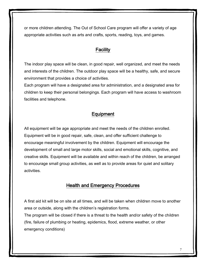or more children attending. The Out of School Care program will offer a variety of age appropriate activities such as arts and crafts, sports, reading, toys, and games.

#### **Facility**

The indoor play space will be clean, in good repair, well organized, and meet the needs and interests of the children. The outdoor play space will be a healthy, safe, and secure environment that provides a choice of activities.

Each program will have a designated area for administration, and a designated area for children to keep their personal belongings. Each program will have access to washroom facilities and telephone.

# **Equipment**

All equipment will be age appropriate and meet the needs of the children enrolled. Equipment will be in good repair, safe, clean, and offer sufficient challenge to encourage meaningful involvement by the children. Equipment will encourage the development of small and large motor skills, social and emotional skills, cognitive, and creative skills. Equipment will be available and within reach of the children, be arranged to encourage small group activities, as well as to provide areas for quiet and solitary activities.

### Health and Emergency Procedures

A first aid kit will be on site at all times, and will be taken when children move to another area or outside, along with the children's registration forms.

The program will be closed if there is a threat to the health and/or safety of the children (fire, failure of plumbing or heating, epidemics, flood, extreme weather, or other emergency conditions)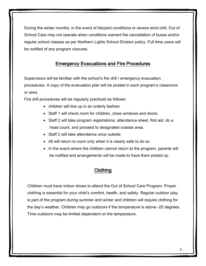During the winter months, in the event of blizzard conditions or severe wind chill, Out of School Care may not operate when conditions warrant the cancellation of buses and/or regular school classes as per Northern Lights School Division policy. Full time users will be notified of any program closures.

# Emergency Evacuations and Fire Procedures

Supervisors will be familiar with the school's fire drill / emergency evacuation procedures. A copy of the evacuation plan will be posted in each program's classroom or area.

Fire drill procedures will be regularly practiced as follows:

- children will line up in an orderly fashion
- Staff 1 will check room for children, close windows and doors.
- Staff 2 will take program registrations, attendance sheet, first aid, do a head count, and proceed to designated outside area.
- Staff 2 will take attendance once outside
- All will return to room only when it is clearly safe to do so
- In the event where the children cannot return to the program, parents will be notified and arrangements will be made to have them picked up

### **Clothing**

Children must have indoor shoes to attend the Out of School Care Program. Proper clothing is essential for your child's comfort, health, and safety. Regular outdoor play is part of the program during summer and winter and children will require clothing for the day's weather. Children may go outdoors if the temperature is above -25 degrees. Time outdoors may be limited dependent on the temperature.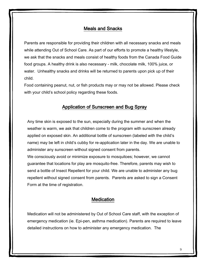### Meals and Snacks

Parents are responsible for providing their children with all necessary snacks and meals while attending Out of School Care. As part of our efforts to promote a healthy lifestyle, we ask that the snacks and meals consist of healthy foods from the Canada Food Guide food groups. A healthy drink is also necessary - milk, chocolate milk, 100% juice, or water. Unhealthy snacks and drinks will be returned to parents upon pick up of their child.

Food containing peanut, nut, or fish products may or may not be allowed. Please check with your child's school policy regarding these foods.

### Application of Sunscreen and Bug Spray

Any time skin is exposed to the sun, especially during the summer and when the weather is warm, we ask that children come to the program with sunscreen already applied on exposed skin. An additional bottle of sunscreen (labeled with the child's name) may be left in child's cubby for re-application later in the day. We are unable to administer any sunscreen without signed consent from parents.

We consciously avoid or minimize exposure to mosquitoes; however, we cannot guarantee that locations for play are mosquito-free. Therefore, parents may wish to send a bottle of Insect Repellent for your child. We are unable to administer any bug repellent without signed consent from parents. Parents are asked to sign a Consent Form at the time of registration.

#### **Medication**

Medication will not be administered by Out of School Care staff, with the exception of emergency medication (ie. Epi-pen, asthma medication). Parents are required to leave detailed instructions on how to administer any emergency medication. The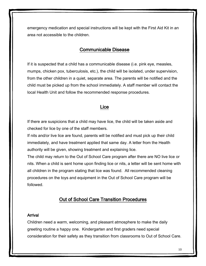emergency medication and special instructions will be kept with the First Aid Kit in an area not accessible to the children.

#### Communicable Disease

If it is suspected that a child has a communicable disease (i.e. pink eye, measles, mumps, chicken pox, tuberculosis, etc.), the child will be isolated, under supervision, from the other children in a quiet, separate area. The parents will be notified and the child must be picked up from the school immediately. A staff member will contact the local Health Unit and follow the recommended response procedures.

#### Lice

If there are suspicions that a child may have lice, the child will be taken aside and checked for lice by one of the staff members.

If nits and/or live lice are found, parents will be notified and must pick up their child immediately, and have treatment applied that same day. A letter from the Health authority will be given, showing treatment and explaining lice.

The child may return to the Out of School Care program after there are NO live lice or nits. When a child is sent home upon finding lice or nits, a letter will be sent home with all children in the program stating that lice was found. All recommended cleaning procedures on the toys and equipment in the Out of School Care program will be followed.

#### Out of School Care Transition Procedures

#### Arrival

Children need a warm, welcoming, and pleasant atmosphere to make the daily greeting routine a happy one. Kindergarten and first graders need special consideration for their safety as they transition from classrooms to Out of School Care.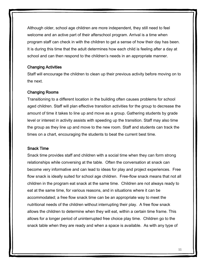Although older, school age children are more independent, they still need to feel welcome and an active part of their afterschool program. Arrival is a time when program staff can check in with the children to get a sense of how their day has been. It is during this time that the adult determines how each child is feeling after a day at school and can then respond to the children's needs in an appropriate manner.

#### Changing Activities

Staff will encourage the children to clean up their previous activity before moving on to the next.

#### Changing Rooms

Transitioning to a different location in the building often causes problems for school aged children. Staff will plan effective transition activities for the group to decrease the amount of time it takes to line up and move as a group. Gathering students by grade level or interest in activity assists with speeding up the transition. Staff may also time the group as they line up and move to the new room. Staff and students can track the times on a chart, encouraging the students to beat the current best time.

#### Snack Time

Snack time provides staff and children with a social time when they can form strong relationships while conversing at the table. Often the conversation at snack can become very informative and can lead to ideas for play and project experiences. Free flow snack is ideally suited for school age children. Free-flow snack means that not all children in the program eat snack at the same time. Children are not always ready to eat at the same time, for various reasons, and in situations where it can be accommodated; a free flow snack time can be an appropriate way to meet the nutritional needs of the children without interrupting their play. A free flow snack allows the children to determine when they will eat, within a certain time frame. This allows for a longer period of uninterrupted free choice play time. Children go to the snack table when they are ready and when a space is available. As with any type of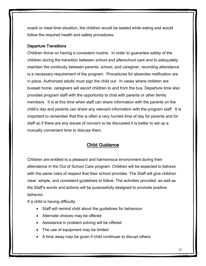snack or meal time situation, the children would be seated while eating and would follow the required health and safety procedures.

#### Departure Transitions

Children thrive on having a consistent routine. In order to guarantee safety of the children during the transition between school and afterschool care and to adequately maintain the continuity between parents, school, and caregiver, recording attendance is a necessary requirement of the program. Procedures for absentee notification are in place. Authorized adults must sign the child out. In cases where children are bussed home, caregivers will escort children to and from the bus. Departure time also provides program staff with the opportunity to chat with parents or other family members. It is at this time when staff can share information with the parents on the child's day and parents can share any relevant information with the program staff. It is important to remember that this is often a very hurried time of day for parents and for staff so if there are any issues of concern to be discussed it is better to set up a mutually convenient time to discuss them.

# Child Guidance

Children are entitled to a pleasant and harmonious environment during their attendance in the Out of School Care program. Children will be expected to behave with the same rules of respect that their school provides. The Staff will give children clear, simple, and consistent guidelines to follow. The activities provided, as well as the Staff's words and actions will be purposefully designed to promote positive behavior.

If a child is having difficulty:

- Staff will remind child about the guidelines for behaviour
- Alternate choices may be offered
- Assistance in problem solving will be offered
- The use of equipment may be limited
- A time away may be given if child continues to disrupt others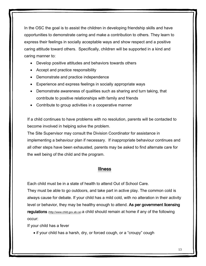In the OSC the goal is to assist the children in developing friendship skills and have opportunities to demonstrate caring and make a contribution to others. They learn to express their feelings in socially acceptable ways and show respect and a positive caring attitude toward others. Specifically, children will be supported in a kind and caring manner to:

- Develop positive attitudes and behaviors towards others
- Accept and practice responsibility
- Demonstrate and practice independence
- Experience and express feelings in socially appropriate ways
- Demonstrate awareness of qualities such as sharing and turn taking, that contribute to positive relationships with family and friends
- Contribute to group activities in a cooperative manner

If a child continues to have problems with no resolution, parents will be contacted to become involved in helping solve the problem.

The Site Supervisor may consult the Division Coordinator for assistance in implementing a behaviour plan if necessary. If inappropriate behaviour continues and all other steps have been exhausted, parents may be asked to find alternate care for the well being of the child and the program.

#### Illness

Each child must be in a state of health to attend Out of School Care.

They must be able to go outdoors, and take part in active play. The common cold is always cause for debate. If your child has a mild cold, with no alteration in their activity level or behavior, they may be healthy enough to attend. As per government licensing regulations [\(http://www.child.gov.ab.ca\)](http://www.child.gov.ab.ca/) a child should remain at home if any of the following occur:

If your child has a fever

• if your child has a harsh, dry, or forced cough, or a "croupy" cough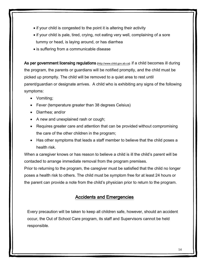- if your child is congested to the point it is altering their activity
- if your child is pale, tired, crying, not eating very well, complaining of a sore tummy or head, is laying around, or has diarrhea
- is suffering from a communicable disease

As per government licensing regulations [\(http://www.child.gov.ab.ca\)](http://www.child.gov.ab.ca/) if a child becomes ill during the program, the parents or guardians will be notified promptly, and the child must be picked up promptly. The child will be removed to a quiet area to rest until parent/guardian or designate arrives. A child who is exhibiting any signs of the following symptoms:

- Vomiting;
- Fever (temperature greater than 38 degrees Celsius)
- Diarrhea; and/or
- A new and unexplained rash or cough;
- Requires greater care and attention that can be provided without compromising the care of the other children in the program;
- Has other symptoms that leads a staff member to believe that the child poses a health risk.

When a caregiver knows or has reason to believe a child is ill the child's parent will be contacted to arrange immediate removal from the program premises.

Prior to returning to the program, the caregiver must be satisfied that the child no longer poses a health risk to others. The child must be symptom free for at least 24 hours or the parent can provide a note from the child's physician prior to return to the program.

# Accidents and Emergencies

Every precaution will be taken to keep all children safe, however, should an accident occur, the Out of School Care program, its staff and Supervisors cannot be held responsible.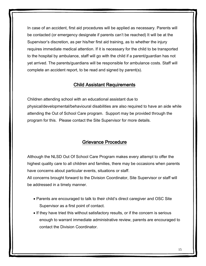In case of an accident, first aid procedures will be applied as necessary. Parents will be contacted (or emergency designate if parents can't be reached) It will be at the Supervisor's discretion, as per his/her first aid training, as to whether the injury requires immediate medical attention. If it is necessary for the child to be transported to the hospital by ambulance, staff will go with the child if a parent/guardian has not yet arrived. The parents/guardians will be responsible for ambulance costs. Staff will complete an accident report, to be read and signed by parent(s).

#### Child Assistant Requirements

Children attending school with an educational assistant due to physical/developmental/behavioural disabilities are also required to have an aide while attending the Out of School Care program. Support may be provided through the program for this. Please contact the Site Supervisor for more details.

### Grievance Procedure

Although the NLSD Out Of School Care Program makes every attempt to offer the highest quality care to all children and families, there may be occasions when parents have concerns about particular events, situations or staff.

All concerns brought forward to the Division Coordinator, Site Supervisor or staff will be addressed in a timely manner.

- Parents are encouraged to talk to their child's direct caregiver and OSC Site Supervisor as a first point of contact.
- If they have tried this without satisfactory results, or if the concern is serious enough to warrant immediate administrative review, parents are encouraged to contact the Division Coordinator.